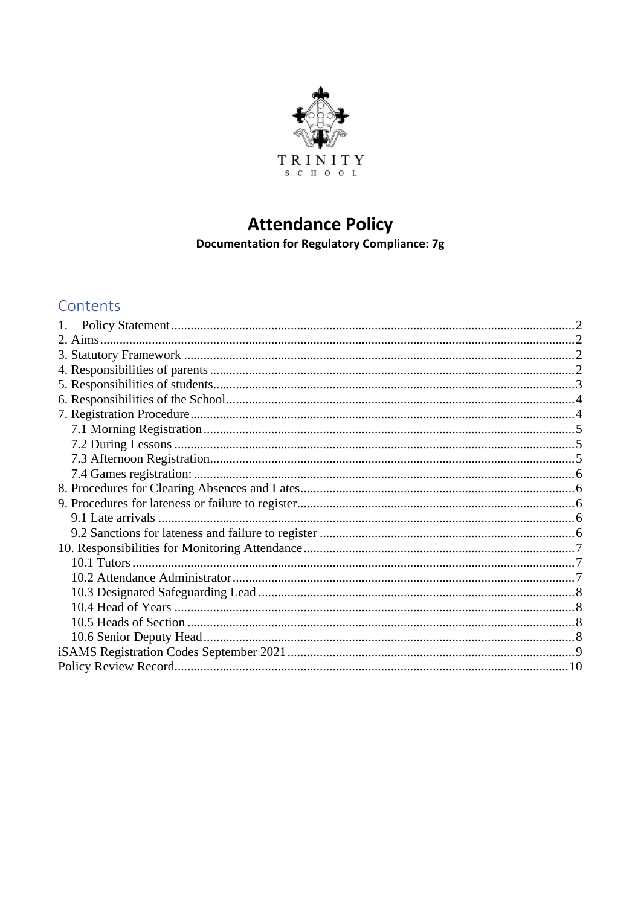

# **Attendance Policy**

Documentation for Regulatory Compliance: 7g

# Contents

| 1. |  |
|----|--|
|    |  |
|    |  |
|    |  |
|    |  |
|    |  |
|    |  |
|    |  |
|    |  |
|    |  |
|    |  |
|    |  |
|    |  |
|    |  |
|    |  |
|    |  |
|    |  |
|    |  |
|    |  |
|    |  |
|    |  |
|    |  |
|    |  |
|    |  |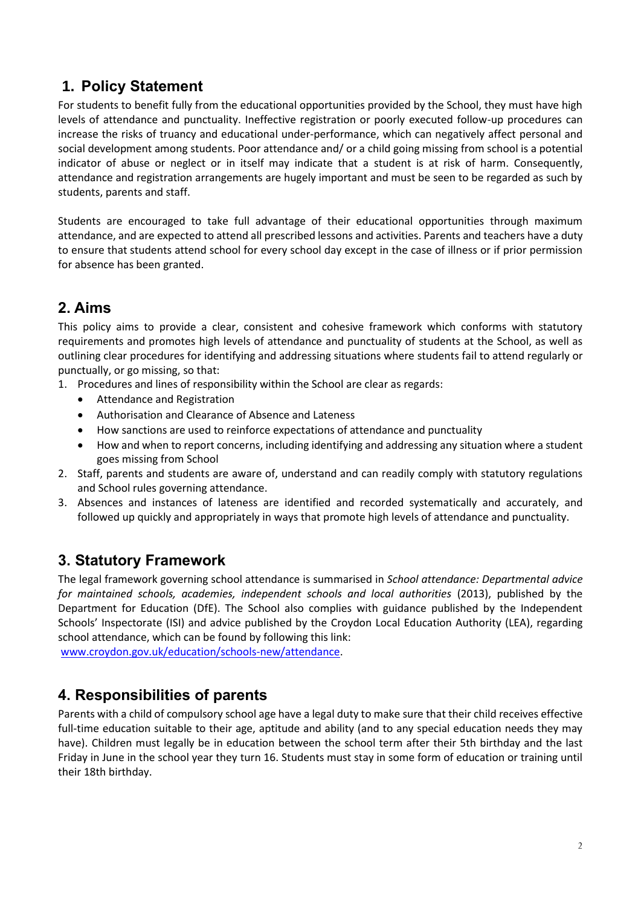# <span id="page-1-0"></span>**1. Policy Statement**

For students to benefit fully from the educational opportunities provided by the School, they must have high levels of attendance and punctuality. Ineffective registration or poorly executed follow-up procedures can increase the risks of truancy and educational under-performance, which can negatively affect personal and social development among students. Poor attendance and/ or a child going missing from school is a potential indicator of abuse or neglect or in itself may indicate that a student is at risk of harm. Consequently, attendance and registration arrangements are hugely important and must be seen to be regarded as such by students, parents and staff.

Students are encouraged to take full advantage of their educational opportunities through maximum attendance, and are expected to attend all prescribed lessons and activities. Parents and teachers have a duty to ensure that students attend school for every school day except in the case of illness or if prior permission for absence has been granted.

# <span id="page-1-1"></span>**2. Aims**

This policy aims to provide a clear, consistent and cohesive framework which conforms with statutory requirements and promotes high levels of attendance and punctuality of students at the School, as well as outlining clear procedures for identifying and addressing situations where students fail to attend regularly or punctually, or go missing, so that:

- 1. Procedures and lines of responsibility within the School are clear as regards:
	- Attendance and Registration
	- Authorisation and Clearance of Absence and Lateness
	- How sanctions are used to reinforce expectations of attendance and punctuality
	- How and when to report concerns, including identifying and addressing any situation where a student goes missing from School
- 2. Staff, parents and students are aware of, understand and can readily comply with statutory regulations and School rules governing attendance.
- 3. Absences and instances of lateness are identified and recorded systematically and accurately, and followed up quickly and appropriately in ways that promote high levels of attendance and punctuality.

# <span id="page-1-2"></span>**3. Statutory Framework**

The legal framework governing school attendance is summarised in *School attendance: Departmental advice*  for maintained schools, academies, independent schools and local authorities (2013), published by the Department for Education (DfE). The School also complies with guidance published by the Independent Schools' Inspectorate (ISI) and advice published by the Croydon Local Education Authority (LEA), regarding school attendance, which can be found by following this link:

[www.croydon.gov.uk/education/schools-new/attendance.](http://www.croydon.gov.uk/education/schools-new/attendance)

# <span id="page-1-3"></span>**4. Responsibilities of parents**

Parents with a child of compulsory school age have a legal duty to make sure that their child receives effective full-time education suitable to their age, aptitude and ability (and to any special education needs they may have). Children must legally be in education between the school term after their 5th birthday and the last Friday in June in the school year they turn 16. Students must stay in some form of education or training until their 18th birthday.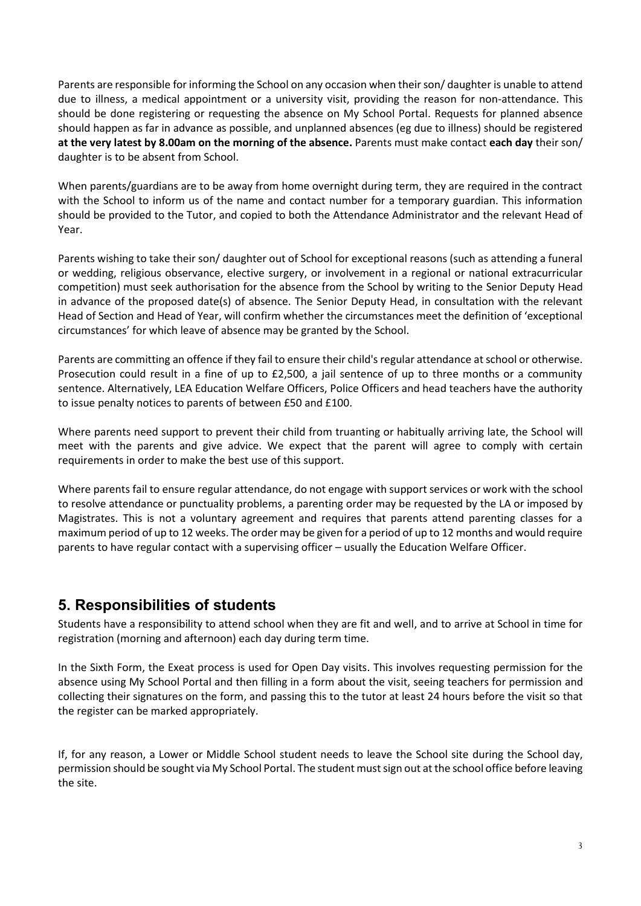Parents are responsible for informing the School on any occasion when their son/ daughter is unable to attend due to illness, a medical appointment or a university visit, providing the reason for non-attendance. This should be done registering or requesting the absence on My School Portal. Requests for planned absence should happen as far in advance as possible, and unplanned absences (eg due to illness) should be registered **at the very latest by 8.00am on the morning of the absence.** Parents must make contact **each day** their son/ daughter is to be absent from School.

When parents/guardians are to be away from home overnight during term, they are required in the contract with the School to inform us of the name and contact number for a temporary guardian. This information should be provided to the Tutor, and copied to both the Attendance Administrator and the relevant Head of Year.

Parents wishing to take their son/ daughter out of School for exceptional reasons (such as attending a funeral or wedding, religious observance, elective surgery, or involvement in a regional or national extracurricular competition) must seek authorisation for the absence from the School by writing to the Senior Deputy Head in advance of the proposed date(s) of absence. The Senior Deputy Head, in consultation with the relevant Head of Section and Head of Year, will confirm whether the circumstances meet the definition of 'exceptional circumstances' for which leave of absence may be granted by the School.

Parents are committing an offence if they fail to ensure their child's regular attendance at school or otherwise. Prosecution could result in a fine of up to £2,500, a jail sentence of up to three months or a community sentence. Alternatively, LEA Education Welfare Officers, Police Officers and head teachers have the authority to issue penalty notices to parents of between £50 and £100.

Where parents need support to prevent their child from truanting or habitually arriving late, the School will meet with the parents and give advice. We expect that the parent will agree to comply with certain requirements in order to make the best use of this support.

Where parents fail to ensure regular attendance, do not engage with support services or work with the school to resolve attendance or punctuality problems, a parenting order may be requested by the LA or imposed by Magistrates. This is not a voluntary agreement and requires that parents attend parenting classes for a maximum period of up to 12 weeks. The order may be given for a period of up to 12 months and would require parents to have regular contact with a supervising officer – usually the Education Welfare Officer.

# <span id="page-2-0"></span>**5. Responsibilities of students**

Students have a responsibility to attend school when they are fit and well, and to arrive at School in time for registration (morning and afternoon) each day during term time.

In the Sixth Form, the Exeat process is used for Open Day visits. This involves requesting permission for the absence using My School Portal and then filling in a form about the visit, seeing teachers for permission and collecting their signatures on the form, and passing this to the tutor at least 24 hours before the visit so that the register can be marked appropriately.

If, for any reason, a Lower or Middle School student needs to leave the School site during the School day, permission should be sought via My School Portal. The student must sign out at the school office before leaving the site.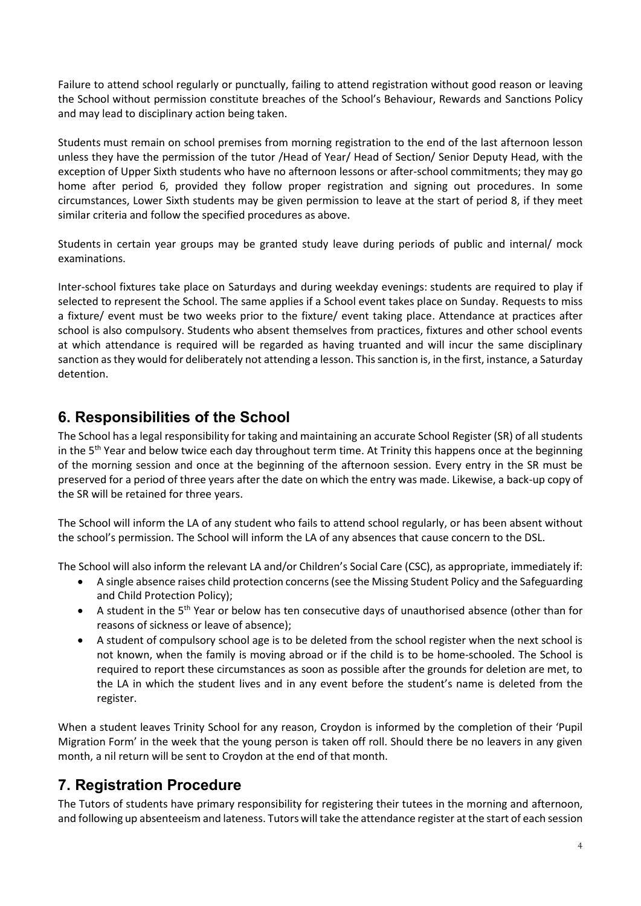Failure to attend school regularly or punctually, failing to attend registration without good reason or leaving the School without permission constitute breaches of the School's Behaviour, Rewards and Sanctions Policy and may lead to disciplinary action being taken.

Students must remain on school premises from morning registration to the end of the last afternoon lesson unless they have the permission of the tutor /Head of Year/ Head of Section/ Senior Deputy Head, with the exception of Upper Sixth students who have no afternoon lessons or after-school commitments; they may go home after period 6, provided they follow proper registration and signing out procedures. In some circumstances, Lower Sixth students may be given permission to leave at the start of period 8, if they meet similar criteria and follow the specified procedures as above.

Students in certain year groups may be granted study leave during periods of public and internal/ mock examinations.

Inter-school fixtures take place on Saturdays and during weekday evenings: students are required to play if selected to represent the School. The same applies if a School event takes place on Sunday. Requests to miss a fixture/ event must be two weeks prior to the fixture/ event taking place. Attendance at practices after school is also compulsory. Students who absent themselves from practices, fixtures and other school events at which attendance is required will be regarded as having truanted and will incur the same disciplinary sanction as they would for deliberately not attending a lesson. This sanction is, in the first, instance, a Saturday detention.

# <span id="page-3-0"></span>**6. Responsibilities of the School**

The School has a legal responsibility for taking and maintaining an accurate School Register (SR) of all students in the  $5<sup>th</sup>$  Year and below twice each day throughout term time. At Trinity this happens once at the beginning of the morning session and once at the beginning of the afternoon session. Every entry in the SR must be preserved for a period of three years after the date on which the entry was made. Likewise, a back-up copy of the SR will be retained for three years.

The School will inform the LA of any student who fails to attend school regularly, or has been absent without the school's permission. The School will inform the LA of any absences that cause concern to the DSL.

The School will also inform the relevant LA and/or Children's Social Care (CSC), as appropriate, immediately if:

- A single absence raises child protection concerns (see the Missing Student Policy and the Safeguarding and Child Protection Policy);
- A student in the 5<sup>th</sup> Year or below has ten consecutive days of unauthorised absence (other than for reasons of sickness or leave of absence);
- A student of compulsory school age is to be deleted from the school register when the next school is not known, when the family is moving abroad or if the child is to be home-schooled. The School is required to report these circumstances as soon as possible after the grounds for deletion are met, to the LA in which the student lives and in any event before the student's name is deleted from the register.

When a student leaves Trinity School for any reason, Croydon is informed by the completion of their 'Pupil Migration Form' in the week that the young person is taken off roll. Should there be no leavers in any given month, a nil return will be sent to Croydon at the end of that month.

# <span id="page-3-1"></span>**7. Registration Procedure**

The Tutors of students have primary responsibility for registering their tutees in the morning and afternoon, and following up absenteeism and lateness. Tutors will take the attendance register at the start of each session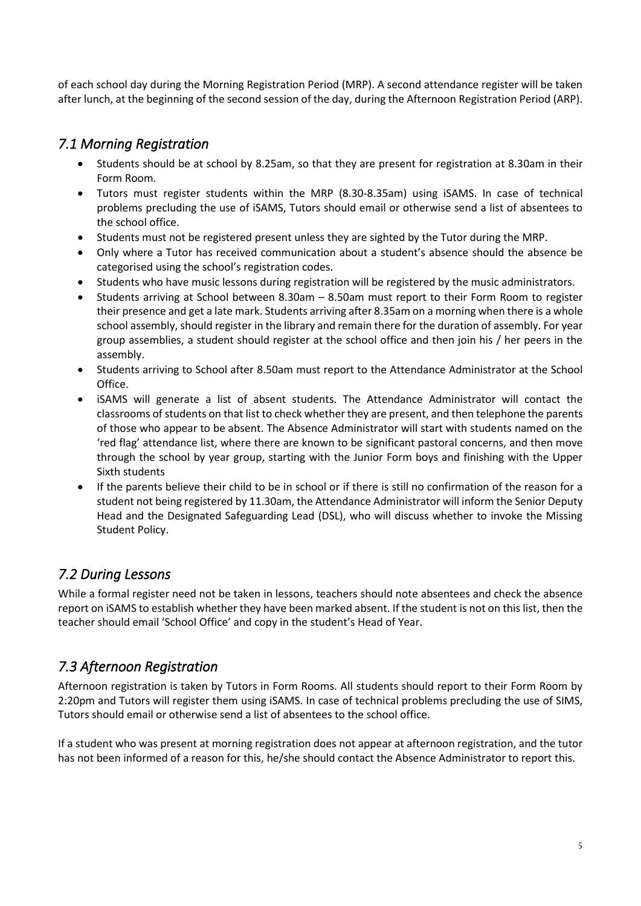of each school day during the Morning Registration Period (MRP). A second attendance register will be taken after lunch, at the beginning of the second session of the day, during the Afternoon Registration Period (ARP).

### <span id="page-4-0"></span>*7.1 Morning Registration*

- Students should be at school by 8.25am, so that they are present for registration at 8.30am in their Form Room.
- Tutors must register students within the MRP (8.30-8.35am) using iSAMS. In case of technical problems precluding the use of iSAMS, Tutors should email or otherwise send a list of absentees to the school office.
- Students must not be registered present unless they are sighted by the Tutor during the MRP.
- Only where a Tutor has received communication about a student's absence should the absence be categorised using the school's registration codes.
- Students who have music lessons during registration will be registered by the music administrators.
- Students arriving at School between 8.30am 8.50am must report to their Form Room to register their presence and get a late mark. Students arriving after 8.35am on a morning when there is a whole school assembly, should register in the library and remain there for the duration of assembly. For year group assemblies, a student should register at the school office and then join his / her peers in the assembly.
- Students arriving to School after 8.50am must report to the Attendance Administrator at the School Office.
- iSAMS will generate a list of absent students. The Attendance Administrator will contact the classrooms of students on that list to check whether they are present, and then telephone the parents of those who appear to be absent. The Absence Administrator will start with students named on the 'red flag' attendance list, where there are known to be significant pastoral concerns, and then move through the school by year group, starting with the Junior Form boys and finishing with the Upper Sixth students
- If the parents believe their child to be in school or if there is still no confirmation of the reason for a student not being registered by 11.30am, the Attendance Administrator will inform the Senior Deputy Head and the Designated Safeguarding Lead (DSL), who will discuss whether to invoke the Missing Student Policy.

# <span id="page-4-1"></span>*7.2 During Lessons*

While a formal register need not be taken in lessons, teachers should note absentees and check the absence report on iSAMS to establish whether they have been marked absent. If the student is not on this list, then the teacher should email 'School Office' and copy in the student's Head of Year.

# <span id="page-4-2"></span>*7.3 Afternoon Registration*

Afternoon registration is taken by Tutors in Form Rooms. All students should report to their Form Room by 2:20pm and Tutors will register them using iSAMS. In case of technical problems precluding the use of SIMS, Tutors should email or otherwise send a list of absentees to the school office.

If a student who was present at morning registration does not appear at afternoon registration, and the tutor has not been informed of a reason for this, he/she should contact the Absence Administrator to report this.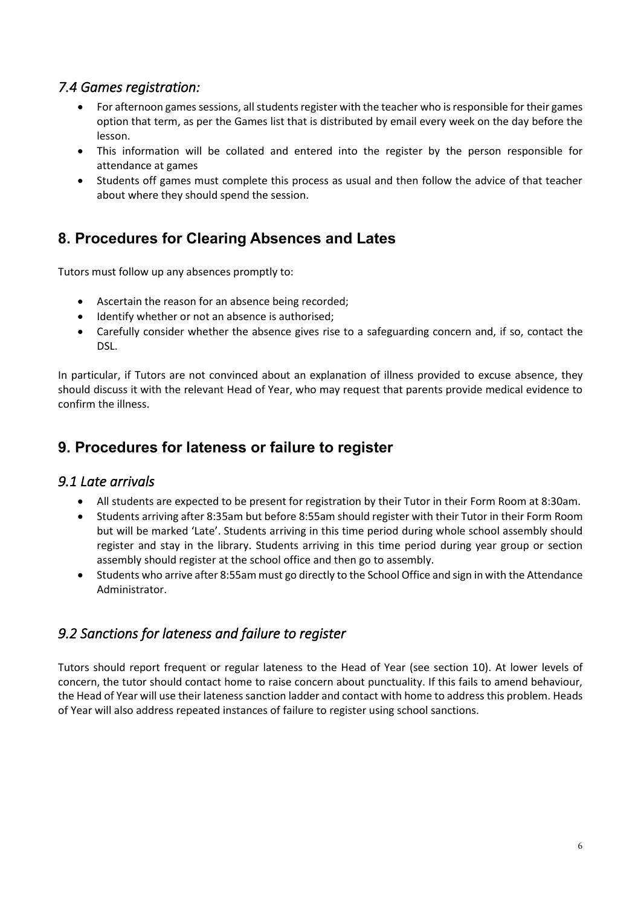### <span id="page-5-0"></span>*7.4 Games registration:*

- For afternoon games sessions, all students register with the teacher who is responsible for their games option that term, as per the Games list that is distributed by email every week on the day before the lesson.
- This information will be collated and entered into the register by the person responsible for attendance at games
- Students off games must complete this process as usual and then follow the advice of that teacher about where they should spend the session.

# <span id="page-5-1"></span>**8. Procedures for Clearing Absences and Lates**

Tutors must follow up any absences promptly to:

- Ascertain the reason for an absence being recorded;
- Identify whether or not an absence is authorised;
- Carefully consider whether the absence gives rise to a safeguarding concern and, if so, contact the DSL.

In particular, if Tutors are not convinced about an explanation of illness provided to excuse absence, they should discuss it with the relevant Head of Year, who may request that parents provide medical evidence to confirm the illness.

# <span id="page-5-2"></span>**9. Procedures for lateness or failure to register**

#### <span id="page-5-3"></span>*9.1 Late arrivals*

- All students are expected to be present for registration by their Tutor in their Form Room at 8:30am.
- Students arriving after 8:35am but before 8:55am should register with their Tutor in their Form Room but will be marked 'Late'. Students arriving in this time period during whole school assembly should register and stay in the library. Students arriving in this time period during year group or section assembly should register at the school office and then go to assembly.
- Students who arrive after 8:55am must go directly to the School Office and sign in with the Attendance Administrator.

# <span id="page-5-4"></span>*9.2 Sanctions for lateness and failure to register*

Tutors should report frequent or regular lateness to the Head of Year (see section 10). At lower levels of concern, the tutor should contact home to raise concern about punctuality. If this fails to amend behaviour, the Head of Year will use their lateness sanction ladder and contact with home to address this problem. Heads of Year will also address repeated instances of failure to register using school sanctions.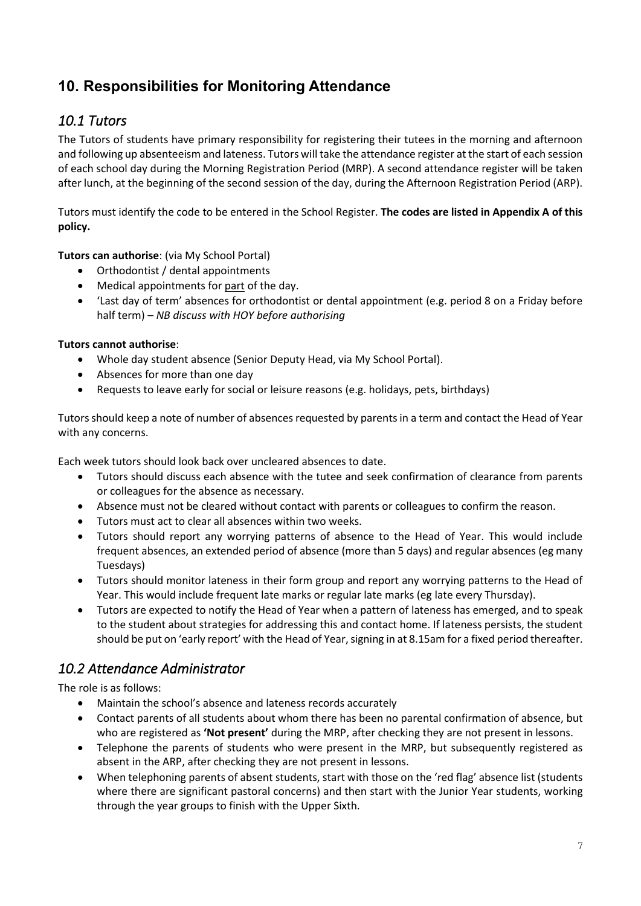# <span id="page-6-0"></span>**10. Responsibilities for Monitoring Attendance**

# <span id="page-6-1"></span>*10.1 Tutors*

The Tutors of students have primary responsibility for registering their tutees in the morning and afternoon and following up absenteeism and lateness. Tutors will take the attendance register at the start of each session of each school day during the Morning Registration Period (MRP). A second attendance register will be taken after lunch, at the beginning of the second session of the day, during the Afternoon Registration Period (ARP).

Tutors must identify the code to be entered in the School Register. **The codes are listed in Appendix A of this policy.**

**Tutors can authorise**: (via My School Portal)

- Orthodontist / dental appointments
- Medical appointments for part of the day.
- 'Last day of term' absences for orthodontist or dental appointment (e.g. period 8 on a Friday before half term) – *NB discuss with HOY before authorising*

#### **Tutors cannot authorise**:

- Whole day student absence (Senior Deputy Head, via My School Portal).
- Absences for more than one day
- Requests to leave early for social or leisure reasons (e.g. holidays, pets, birthdays)

Tutors should keep a note of number of absences requested by parents in a term and contact the Head of Year with any concerns.

Each week tutors should look back over uncleared absences to date.

- Tutors should discuss each absence with the tutee and seek confirmation of clearance from parents or colleagues for the absence as necessary.
- Absence must not be cleared without contact with parents or colleagues to confirm the reason.
- Tutors must act to clear all absences within two weeks.
- Tutors should report any worrying patterns of absence to the Head of Year. This would include frequent absences, an extended period of absence (more than 5 days) and regular absences (eg many Tuesdays)
- Tutors should monitor lateness in their form group and report any worrying patterns to the Head of Year. This would include frequent late marks or regular late marks (eg late every Thursday).
- Tutors are expected to notify the Head of Year when a pattern of lateness has emerged, and to speak to the student about strategies for addressing this and contact home. If lateness persists, the student should be put on 'early report' with the Head of Year, signing in at 8.15am for a fixed period thereafter.

### <span id="page-6-2"></span>*10.2 Attendance Administrator*

The role is as follows:

- Maintain the school's absence and lateness records accurately
- Contact parents of all students about whom there has been no parental confirmation of absence, but who are registered as **'Not present'** during the MRP, after checking they are not present in lessons.
- Telephone the parents of students who were present in the MRP, but subsequently registered as absent in the ARP, after checking they are not present in lessons.
- When telephoning parents of absent students, start with those on the 'red flag' absence list (students where there are significant pastoral concerns) and then start with the Junior Year students, working through the year groups to finish with the Upper Sixth.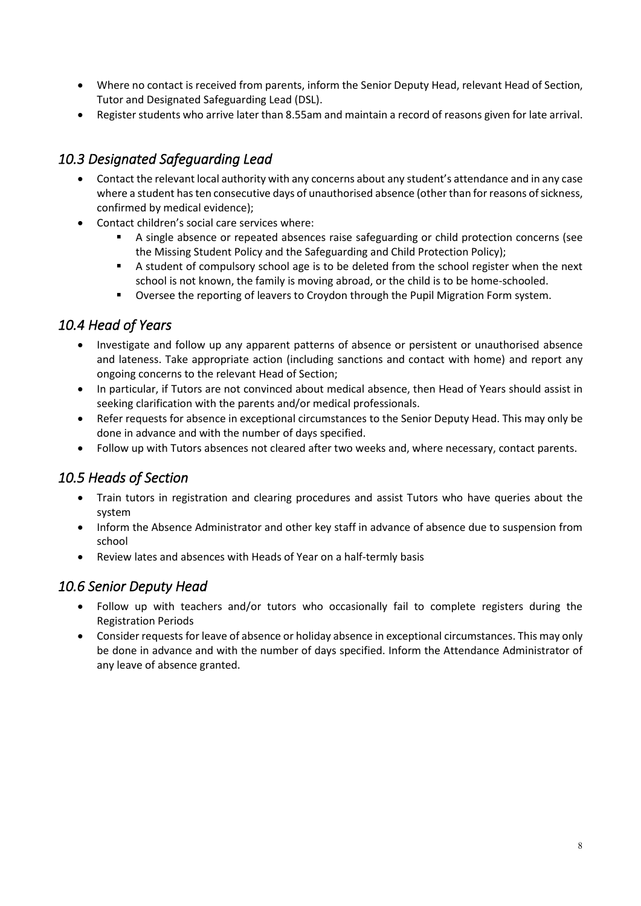- Where no contact is received from parents, inform the Senior Deputy Head, relevant Head of Section, Tutor and Designated Safeguarding Lead (DSL).
- Register students who arrive later than 8.55am and maintain a record of reasons given for late arrival.

### <span id="page-7-0"></span>*10.3 Designated Safeguarding Lead*

- Contact the relevant local authority with any concerns about any student's attendance and in any case where a student has ten consecutive days of unauthorised absence (other than for reasons of sickness, confirmed by medical evidence);
- Contact children's social care services where:
	- A single absence or repeated absences raise safeguarding or child protection concerns (see the Missing Student Policy and the Safeguarding and Child Protection Policy);
	- A student of compulsory school age is to be deleted from the school register when the next school is not known, the family is moving abroad, or the child is to be home-schooled.
	- Oversee the reporting of leavers to Croydon through the Pupil Migration Form system.

### <span id="page-7-1"></span>*10.4 Head of Years*

- Investigate and follow up any apparent patterns of absence or persistent or unauthorised absence and lateness. Take appropriate action (including sanctions and contact with home) and report any ongoing concerns to the relevant Head of Section;
- In particular, if Tutors are not convinced about medical absence, then Head of Years should assist in seeking clarification with the parents and/or medical professionals.
- Refer requests for absence in exceptional circumstances to the Senior Deputy Head. This may only be done in advance and with the number of days specified.
- Follow up with Tutors absences not cleared after two weeks and, where necessary, contact parents.

# <span id="page-7-2"></span>*10.5 Heads of Section*

- Train tutors in registration and clearing procedures and assist Tutors who have queries about the system
- Inform the Absence Administrator and other key staff in advance of absence due to suspension from school
- Review lates and absences with Heads of Year on a half-termly basis

### <span id="page-7-3"></span>*10.6 Senior Deputy Head*

- Follow up with teachers and/or tutors who occasionally fail to complete registers during the Registration Periods
- Consider requests for leave of absence or holiday absence in exceptional circumstances. This may only be done in advance and with the number of days specified. Inform the Attendance Administrator of any leave of absence granted.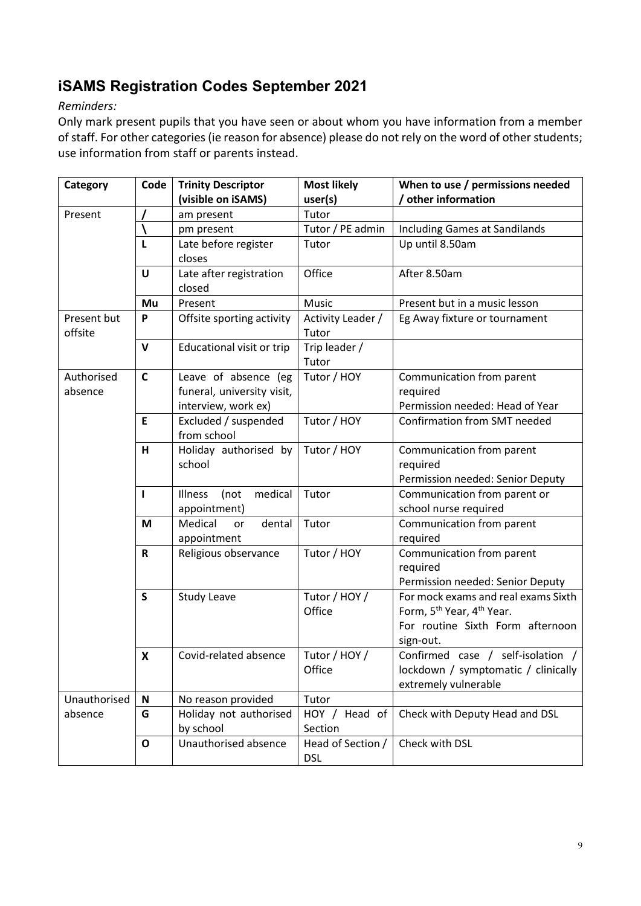# <span id="page-8-0"></span>**iSAMS Registration Codes September 2021**

#### *Reminders:*

Only mark present pupils that you have seen or about whom you have information from a member of staff. For other categories (ie reason for absence) please do not rely on the word of other students; use information from staff or parents instead.

| / other information<br>(visible on iSAMS)<br>user(s)<br>Tutor<br>Present<br>am present<br>Tutor / PE admin<br>Including Games at Sandilands<br>pm present |  |
|-----------------------------------------------------------------------------------------------------------------------------------------------------------|--|
|                                                                                                                                                           |  |
|                                                                                                                                                           |  |
|                                                                                                                                                           |  |
| Tutor<br>Up until 8.50am<br>L<br>Late before register                                                                                                     |  |
| closes                                                                                                                                                    |  |
| Office<br>After 8.50am<br>U<br>Late after registration                                                                                                    |  |
| closed                                                                                                                                                    |  |
| Present<br>Music<br>Present but in a music lesson<br>Mu                                                                                                   |  |
| Offsite sporting activity<br>Activity Leader /<br>Eg Away fixture or tournament<br>Present but<br>P                                                       |  |
| offsite<br>Tutor                                                                                                                                          |  |
| Educational visit or trip<br>V<br>Trip leader /                                                                                                           |  |
| Tutor                                                                                                                                                     |  |
| Tutor / HOY<br>$\mathsf{C}$<br>Leave of absence (eg<br>Authorised<br>Communication from parent                                                            |  |
| funeral, university visit,<br>absence<br>required                                                                                                         |  |
| Permission needed: Head of Year<br>interview, work ex)                                                                                                    |  |
| Excluded / suspended<br>Tutor / HOY<br>Confirmation from SMT needed<br>E                                                                                  |  |
| from school                                                                                                                                               |  |
| Tutor / HOY<br>н<br>Holiday authorised by<br>Communication from parent                                                                                    |  |
| school<br>required                                                                                                                                        |  |
| Permission needed: Senior Deputy                                                                                                                          |  |
| medical<br>Tutor<br>Communication from parent or<br>$\mathbf{I}$<br><b>Illness</b><br>(not                                                                |  |
| school nurse required<br>appointment)                                                                                                                     |  |
| M<br>Medical<br>dental<br>Tutor<br>Communication from parent<br>or                                                                                        |  |
| appointment<br>required                                                                                                                                   |  |
| Tutor / HOY<br>Communication from parent<br>$\mathsf R$<br>Religious observance                                                                           |  |
| required                                                                                                                                                  |  |
| Permission needed: Senior Deputy                                                                                                                          |  |
| Tutor / HOY /<br>$\mathsf{s}$<br><b>Study Leave</b><br>For mock exams and real exams Sixth                                                                |  |
| Form, 5 <sup>th</sup> Year, 4 <sup>th</sup> Year.<br>Office                                                                                               |  |
| For routine Sixth Form afternoon                                                                                                                          |  |
| sign-out.                                                                                                                                                 |  |
| Tutor / HOY /<br>Confirmed case /<br>self-isolation /<br>X<br>Covid-related absence                                                                       |  |
| Office<br>lockdown / symptomatic / clinically                                                                                                             |  |
| extremely vulnerable<br>Unauthorised                                                                                                                      |  |
| No reason provided<br>Tutor<br>N<br>absence<br>G<br>HOY / Head of                                                                                         |  |
| Check with Deputy Head and DSL<br>Holiday not authorised<br>by school<br>Section                                                                          |  |
| Check with DSL<br>Unauthorised absence<br>Head of Section /<br>$\mathbf O$                                                                                |  |
| <b>DSL</b>                                                                                                                                                |  |